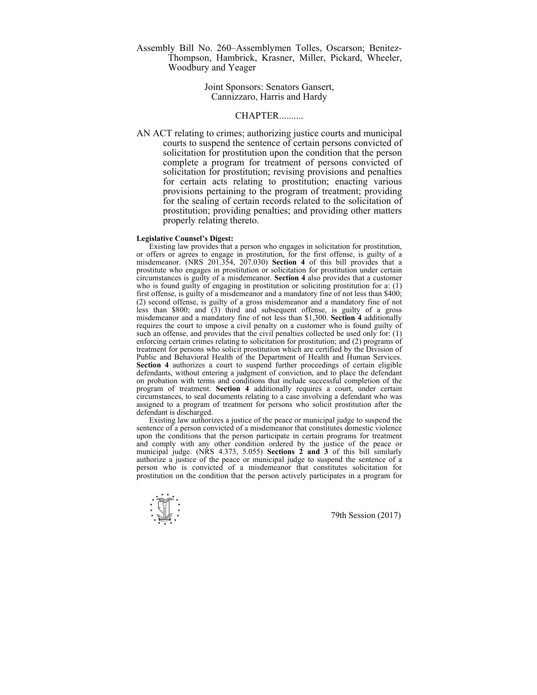Assembly Bill No. 260–Assemblymen Tolles, Oscarson; Benitez-Thompson, Hambrick, Krasner, Miller, Pickard, Wheeler, Woodbury and Yeager

## Joint Sponsors: Senators Gansert, Cannizzaro, Harris and Hardy

## CHAPTER..........

AN ACT relating to crimes; authorizing justice courts and municipal courts to suspend the sentence of certain persons convicted of solicitation for prostitution upon the condition that the person complete a program for treatment of persons convicted of solicitation for prostitution; revising provisions and penalties for certain acts relating to prostitution; enacting various provisions pertaining to the program of treatment; providing for the sealing of certain records related to the solicitation of prostitution; providing penalties; and providing other matters properly relating thereto.

## **Legislative Counsel's Digest:**

 Existing law provides that a person who engages in solicitation for prostitution, or offers or agrees to engage in prostitution, for the first offense, is guilty of a misdemeanor. (NRS 201.354, 207.030) **Section 4** of this bill provides that a prostitute who engages in prostitution or solicitation for prostitution under certain circumstances is guilty of a misdemeanor. **Section 4** also provides that a customer who is found guilty of engaging in prostitution or soliciting prostitution for a: (1) first offense, is guilty of a misdemeanor and a mandatory fine of not less than \$400; (2) second offense, is guilty of a gross misdemeanor and a mandatory fine of not less than \$800; and (3) third and subsequent offense, is guilty of a gross misdemeanor and a mandatory fine of not less than \$1,300. **Section 4** additionally requires the court to impose a civil penalty on a customer who is found guilty of such an offense, and provides that the civil penalties collected be used only for: (1) enforcing certain crimes relating to solicitation for prostitution; and (2) programs of treatment for persons who solicit prostitution which are certified by the Division of Public and Behavioral Health of the Department of Health and Human Services. **Section 4** authorizes a court to suspend further proceedings of certain eligible defendants, without entering a judgment of conviction, and to place the defendant on probation with terms and conditions that include successful completion of the program of treatment. **Section 4** additionally requires a court, under certain circumstances, to seal documents relating to a case involving a defendant who was assigned to a program of treatment for persons who solicit prostitution after the defendant is discharged.

 Existing law authorizes a justice of the peace or municipal judge to suspend the sentence of a person convicted of a misdemeanor that constitutes domestic violence upon the conditions that the person participate in certain programs for treatment and comply with any other condition ordered by the justice of the peace or municipal judge. (NRS 4.373, 5.055) **Sections 2 and 3** of this bill similarly authorize a justice of the peace or municipal judge to suspend the sentence of a person who is convicted of a misdemeanor that constitutes solicitation for prostitution on the condition that the person actively participates in a program for

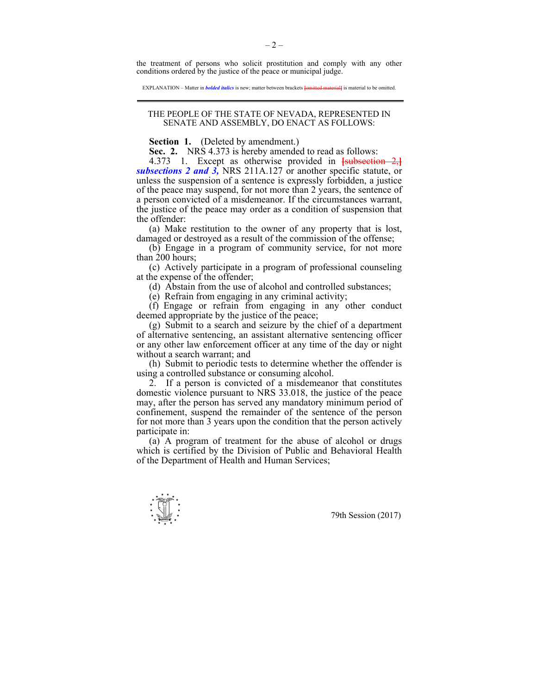the treatment of persons who solicit prostitution and comply with any other conditions ordered by the justice of the peace or municipal judge.

EXPLANATION – Matter in *bolded italics* is new; matter between brackets **[**omitted material**]** is material to be omitted.

## THE PEOPLE OF THE STATE OF NEVADA, REPRESENTED IN SENATE AND ASSEMBLY, DO ENACT AS FOLLOWS:

**Section 1.** (Deleted by amendment.)

 **Sec. 2.** NRS 4.373 is hereby amended to read as follows:

 4.373 1. Except as otherwise provided in **[**subsection 2,**]** *subsections 2 and 3,* NRS 211A.127 or another specific statute, or unless the suspension of a sentence is expressly forbidden, a justice of the peace may suspend, for not more than 2 years, the sentence of a person convicted of a misdemeanor. If the circumstances warrant, the justice of the peace may order as a condition of suspension that the offender:

 (a) Make restitution to the owner of any property that is lost, damaged or destroyed as a result of the commission of the offense;

 (b) Engage in a program of community service, for not more than 200 hours;

 (c) Actively participate in a program of professional counseling at the expense of the offender;

(d) Abstain from the use of alcohol and controlled substances;

(e) Refrain from engaging in any criminal activity;

 (f) Engage or refrain from engaging in any other conduct deemed appropriate by the justice of the peace;

 (g) Submit to a search and seizure by the chief of a department of alternative sentencing, an assistant alternative sentencing officer or any other law enforcement officer at any time of the day or night without a search warrant; and

 (h) Submit to periodic tests to determine whether the offender is using a controlled substance or consuming alcohol.

 2. If a person is convicted of a misdemeanor that constitutes domestic violence pursuant to NRS 33.018, the justice of the peace may, after the person has served any mandatory minimum period of confinement, suspend the remainder of the sentence of the person for not more than 3 years upon the condition that the person actively participate in:

 (a) A program of treatment for the abuse of alcohol or drugs which is certified by the Division of Public and Behavioral Health of the Department of Health and Human Services;

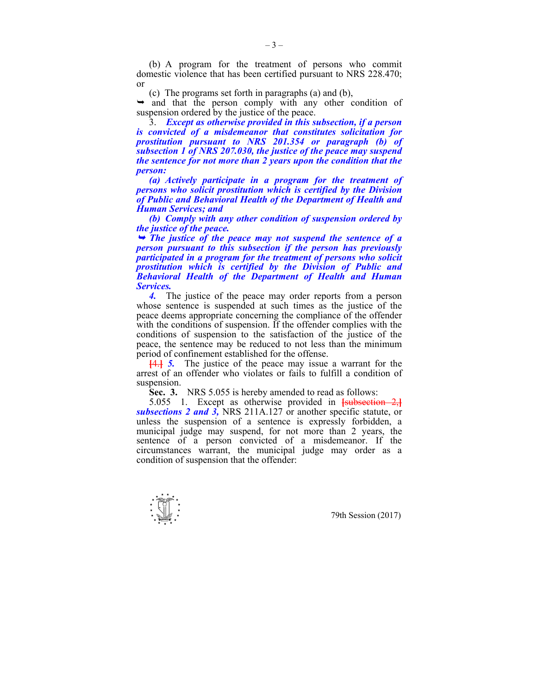(b) A program for the treatment of persons who commit domestic violence that has been certified pursuant to NRS 228.470; or

(c) The programs set forth in paragraphs (a) and (b),

 $\rightarrow$  and that the person comply with any other condition of suspension ordered by the justice of the peace.

 3. *Except as otherwise provided in this subsection, if a person is convicted of a misdemeanor that constitutes solicitation for prostitution pursuant to NRS 201.354 or paragraph (b) of subsection 1 of NRS 207.030, the justice of the peace may suspend the sentence for not more than 2 years upon the condition that the person:* 

 *(a) Actively participate in a program for the treatment of persons who solicit prostitution which is certified by the Division of Public and Behavioral Health of the Department of Health and Human Services; and* 

 *(b) Comply with any other condition of suspension ordered by the justice of the peace.* 

<sup>¬</sup> *The justice of the peace may not suspend the sentence of a person pursuant to this subsection if the person has previously participated in a program for the treatment of persons who solicit prostitution which is certified by the Division of Public and Behavioral Health of the Department of Health and Human Services.* 

4. The justice of the peace may order reports from a person whose sentence is suspended at such times as the justice of the peace deems appropriate concerning the compliance of the offender with the conditions of suspension. If the offender complies with the conditions of suspension to the satisfaction of the justice of the peace, the sentence may be reduced to not less than the minimum period of confinement established for the offense.

**[**4.**]** *5.* The justice of the peace may issue a warrant for the arrest of an offender who violates or fails to fulfill a condition of suspension.

 **Sec. 3.** NRS 5.055 is hereby amended to read as follows:

 5.055 1. Except as otherwise provided in **[**subsection 2,**]** *subsections 2 and 3,* NRS 211A.127 or another specific statute, or unless the suspension of a sentence is expressly forbidden, a municipal judge may suspend, for not more than 2 years, the sentence of a person convicted of a misdemeanor. If the circumstances warrant, the municipal judge may order as a condition of suspension that the offender:

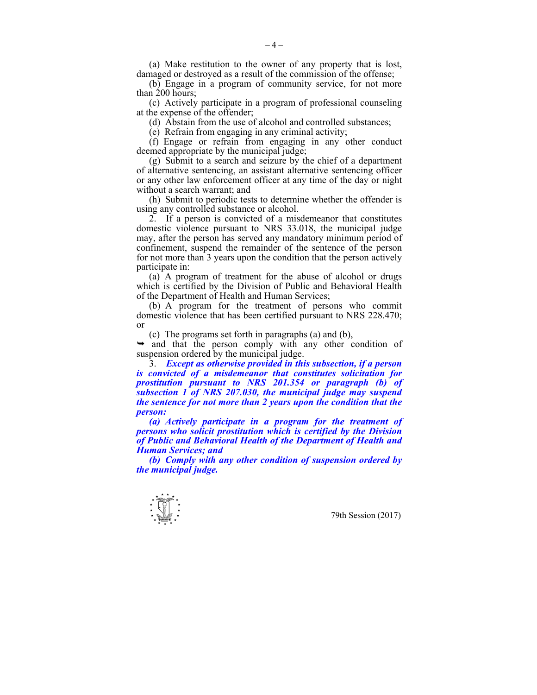(a) Make restitution to the owner of any property that is lost, damaged or destroyed as a result of the commission of the offense;

 (b) Engage in a program of community service, for not more than 200 hours;

 (c) Actively participate in a program of professional counseling at the expense of the offender;

(d) Abstain from the use of alcohol and controlled substances;

(e) Refrain from engaging in any criminal activity;

 (f) Engage or refrain from engaging in any other conduct deemed appropriate by the municipal judge;

 (g) Submit to a search and seizure by the chief of a department of alternative sentencing, an assistant alternative sentencing officer or any other law enforcement officer at any time of the day or night without a search warrant; and

 (h) Submit to periodic tests to determine whether the offender is using any controlled substance or alcohol.

 2. If a person is convicted of a misdemeanor that constitutes domestic violence pursuant to NRS 33.018, the municipal judge may, after the person has served any mandatory minimum period of confinement, suspend the remainder of the sentence of the person for not more than 3 years upon the condition that the person actively participate in:

 (a) A program of treatment for the abuse of alcohol or drugs which is certified by the Division of Public and Behavioral Health of the Department of Health and Human Services;

 (b) A program for the treatment of persons who commit domestic violence that has been certified pursuant to NRS 228.470; or

(c) The programs set forth in paragraphs (a) and (b),

 $\rightarrow$  and that the person comply with any other condition of suspension ordered by the municipal judge.

 3. *Except as otherwise provided in this subsection, if a person is convicted of a misdemeanor that constitutes solicitation for prostitution pursuant to NRS 201.354 or paragraph (b) of subsection 1 of NRS 207.030, the municipal judge may suspend the sentence for not more than 2 years upon the condition that the person:* 

 *(a) Actively participate in a program for the treatment of persons who solicit prostitution which is certified by the Division of Public and Behavioral Health of the Department of Health and Human Services; and* 

 *(b) Comply with any other condition of suspension ordered by the municipal judge.* 

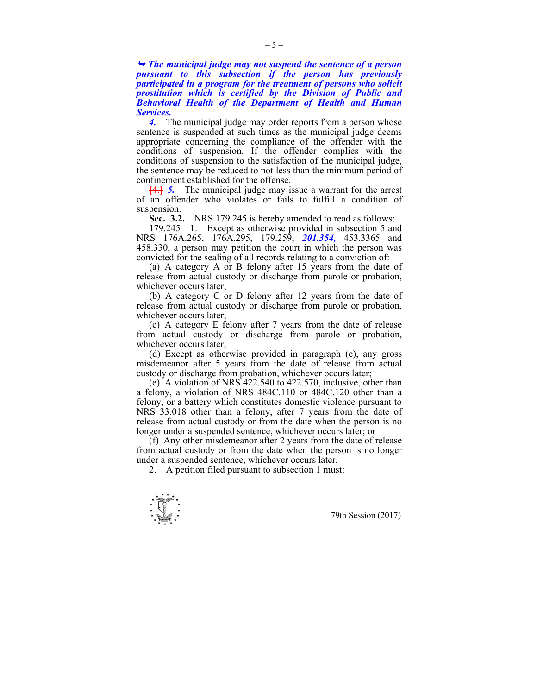<sup>¬</sup> *The municipal judge may not suspend the sentence of a person pursuant to this subsection if the person has previously participated in a program for the treatment of persons who solicit prostitution which is certified by the Division of Public and Behavioral Health of the Department of Health and Human Services.* 

4. The municipal judge may order reports from a person whose sentence is suspended at such times as the municipal judge deems appropriate concerning the compliance of the offender with the conditions of suspension. If the offender complies with the conditions of suspension to the satisfaction of the municipal judge, the sentence may be reduced to not less than the minimum period of confinement established for the offense.

**[**4.**]** *5.* The municipal judge may issue a warrant for the arrest of an offender who violates or fails to fulfill a condition of suspension.

**Sec. 3.2.** NRS 179.245 is hereby amended to read as follows:

 179.245 1. Except as otherwise provided in subsection 5 and NRS 176A.265, 176A.295, 179.259, *201.354,* 453.3365 and 458.330, a person may petition the court in which the person was convicted for the sealing of all records relating to a conviction of:

 (a) A category A or B felony after 15 years from the date of release from actual custody or discharge from parole or probation, whichever occurs later;

 (b) A category C or D felony after 12 years from the date of release from actual custody or discharge from parole or probation, whichever occurs later;

 (c) A category E felony after 7 years from the date of release from actual custody or discharge from parole or probation, whichever occurs later;

 (d) Except as otherwise provided in paragraph (e), any gross misdemeanor after 5 years from the date of release from actual custody or discharge from probation, whichever occurs later;

 (e) A violation of NRS 422.540 to 422.570, inclusive, other than a felony, a violation of NRS 484C.110 or 484C.120 other than a felony, or a battery which constitutes domestic violence pursuant to NRS 33.018 other than a felony, after 7 years from the date of release from actual custody or from the date when the person is no longer under a suspended sentence, whichever occurs later; or

 (f) Any other misdemeanor after 2 years from the date of release from actual custody or from the date when the person is no longer under a suspended sentence, whichever occurs later.

2. A petition filed pursuant to subsection 1 must:

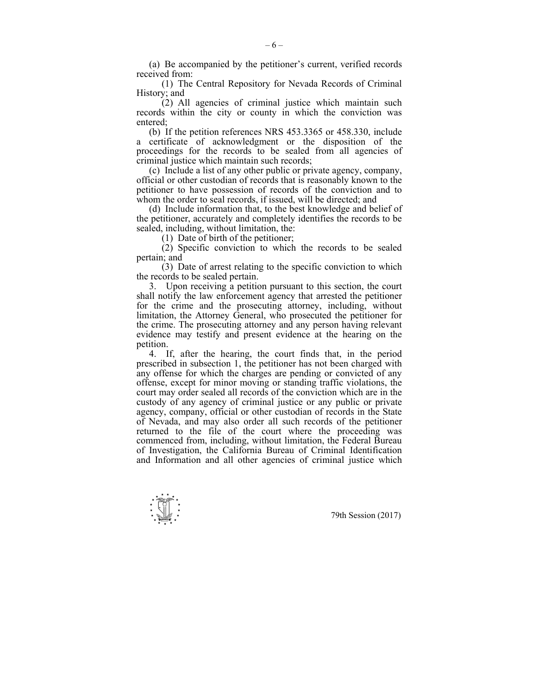(a) Be accompanied by the petitioner's current, verified records received from:

 (1) The Central Repository for Nevada Records of Criminal History; and

 (2) All agencies of criminal justice which maintain such records within the city or county in which the conviction was entered;

 (b) If the petition references NRS 453.3365 or 458.330, include a certificate of acknowledgment or the disposition of the proceedings for the records to be sealed from all agencies of criminal justice which maintain such records;

 (c) Include a list of any other public or private agency, company, official or other custodian of records that is reasonably known to the petitioner to have possession of records of the conviction and to whom the order to seal records, if issued, will be directed; and

 (d) Include information that, to the best knowledge and belief of the petitioner, accurately and completely identifies the records to be sealed, including, without limitation, the:

(1) Date of birth of the petitioner;

 (2) Specific conviction to which the records to be sealed pertain; and

 (3) Date of arrest relating to the specific conviction to which the records to be sealed pertain.

 3. Upon receiving a petition pursuant to this section, the court shall notify the law enforcement agency that arrested the petitioner for the crime and the prosecuting attorney, including, without limitation, the Attorney General, who prosecuted the petitioner for the crime. The prosecuting attorney and any person having relevant evidence may testify and present evidence at the hearing on the petition.

 4. If, after the hearing, the court finds that, in the period prescribed in subsection 1, the petitioner has not been charged with any offense for which the charges are pending or convicted of any offense, except for minor moving or standing traffic violations, the court may order sealed all records of the conviction which are in the custody of any agency of criminal justice or any public or private agency, company, official or other custodian of records in the State of Nevada, and may also order all such records of the petitioner returned to the file of the court where the proceeding was commenced from, including, without limitation, the Federal Bureau of Investigation, the California Bureau of Criminal Identification and Information and all other agencies of criminal justice which

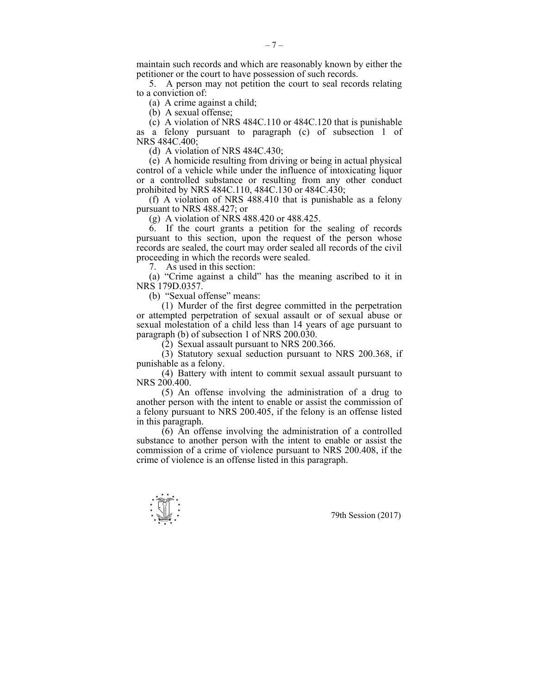maintain such records and which are reasonably known by either the petitioner or the court to have possession of such records.

 5. A person may not petition the court to seal records relating to a conviction of:

(a) A crime against a child;

(b) A sexual offense;

 $(c)$  A violation of NRS 484C.110 or 484C.120 that is punishable as a felony pursuant to paragraph (c) of subsection 1 of NRS 484C.400;

(d) A violation of NRS 484C.430;

 (e) A homicide resulting from driving or being in actual physical control of a vehicle while under the influence of intoxicating liquor or a controlled substance or resulting from any other conduct prohibited by NRS 484C.110, 484C.130 or 484C.430;

 (f) A violation of NRS 488.410 that is punishable as a felony pursuant to NRS 488.427; or

(g) A violation of NRS 488.420 or 488.425.

 6. If the court grants a petition for the sealing of records pursuant to this section, upon the request of the person whose records are sealed, the court may order sealed all records of the civil proceeding in which the records were sealed.

7. As used in this section:

 (a) "Crime against a child" has the meaning ascribed to it in NRS 179D.0357.

(b) "Sexual offense" means:

 (1) Murder of the first degree committed in the perpetration or attempted perpetration of sexual assault or of sexual abuse or sexual molestation of a child less than 14 years of age pursuant to paragraph (b) of subsection 1 of NRS 200.030.

(2) Sexual assault pursuant to NRS 200.366.

 $(3)$  Statutory sexual seduction pursuant to NRS 200.368, if punishable as a felony.

 (4) Battery with intent to commit sexual assault pursuant to NRS 200.400.

 (5) An offense involving the administration of a drug to another person with the intent to enable or assist the commission of a felony pursuant to NRS 200.405, if the felony is an offense listed in this paragraph.

 (6) An offense involving the administration of a controlled substance to another person with the intent to enable or assist the commission of a crime of violence pursuant to NRS 200.408, if the crime of violence is an offense listed in this paragraph.

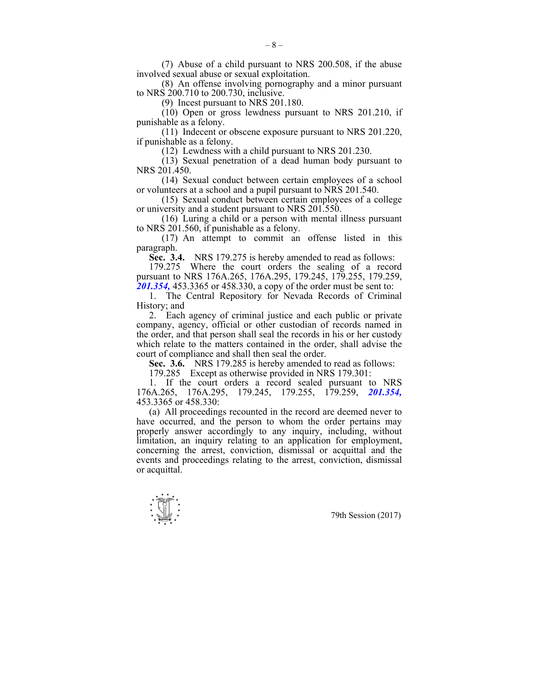(7) Abuse of a child pursuant to NRS 200.508, if the abuse involved sexual abuse or sexual exploitation.

 (8) An offense involving pornography and a minor pursuant to NRS 200.710 to 200.730, inclusive.

(9) Incest pursuant to NRS 201.180.

 (10) Open or gross lewdness pursuant to NRS 201.210, if punishable as a felony.

 (11) Indecent or obscene exposure pursuant to NRS 201.220, if punishable as a felony.

(12) Lewdness with a child pursuant to NRS 201.230.

 $(13)$  Sexual penetration of a dead human body pursuant to NRS 201.450.

 (14) Sexual conduct between certain employees of a school or volunteers at a school and a pupil pursuant to NRS 201.540.

 (15) Sexual conduct between certain employees of a college or university and a student pursuant to NRS 201.550.

 (16) Luring a child or a person with mental illness pursuant to NRS 201.560, if punishable as a felony.

 (17) An attempt to commit an offense listed in this paragraph.

 **Sec. 3.4.** NRS 179.275 is hereby amended to read as follows:

 179.275 Where the court orders the sealing of a record pursuant to NRS 176A.265, 176A.295, 179.245, 179.255, 179.259, *201.354,* 453.3365 or 458.330, a copy of the order must be sent to:

 1. The Central Repository for Nevada Records of Criminal History; and

 2. Each agency of criminal justice and each public or private company, agency, official or other custodian of records named in the order, and that person shall seal the records in his or her custody which relate to the matters contained in the order, shall advise the court of compliance and shall then seal the order.

 **Sec. 3.6.** NRS 179.285 is hereby amended to read as follows:

179.285 Except as otherwise provided in NRS 179.301:

 1. If the court orders a record sealed pursuant to NRS 176A.265, 176A.295, 179.245, 179.255, 179.259, *201.354,*  453.3365 or 458.330:

 (a) All proceedings recounted in the record are deemed never to have occurred, and the person to whom the order pertains may properly answer accordingly to any inquiry, including, without limitation, an inquiry relating to an application for employment, concerning the arrest, conviction, dismissal or acquittal and the events and proceedings relating to the arrest, conviction, dismissal or acquittal.

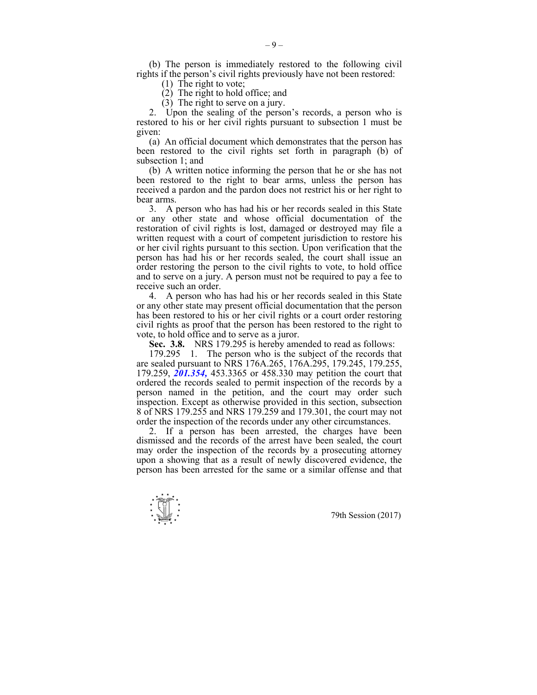(b) The person is immediately restored to the following civil rights if the person's civil rights previously have not been restored:

- (1) The right to vote;
- $(2)$  The right to hold office; and
- (3) The right to serve on a jury.

 2. Upon the sealing of the person's records, a person who is restored to his or her civil rights pursuant to subsection 1 must be given:

 (a) An official document which demonstrates that the person has been restored to the civil rights set forth in paragraph (b) of subsection 1; and

 (b) A written notice informing the person that he or she has not been restored to the right to bear arms, unless the person has received a pardon and the pardon does not restrict his or her right to bear arms.

 3. A person who has had his or her records sealed in this State or any other state and whose official documentation of the restoration of civil rights is lost, damaged or destroyed may file a written request with a court of competent jurisdiction to restore his or her civil rights pursuant to this section. Upon verification that the person has had his or her records sealed, the court shall issue an order restoring the person to the civil rights to vote, to hold office and to serve on a jury. A person must not be required to pay a fee to receive such an order.

 4. A person who has had his or her records sealed in this State or any other state may present official documentation that the person has been restored to his or her civil rights or a court order restoring civil rights as proof that the person has been restored to the right to vote, to hold office and to serve as a juror.

 **Sec. 3.8.** NRS 179.295 is hereby amended to read as follows:

 179.295 1. The person who is the subject of the records that are sealed pursuant to NRS 176A.265, 176A.295, 179.245, 179.255, 179.259, *201.354,* 453.3365 or 458.330 may petition the court that ordered the records sealed to permit inspection of the records by a person named in the petition, and the court may order such inspection. Except as otherwise provided in this section, subsection 8 of NRS 179.255 and NRS 179.259 and 179.301, the court may not order the inspection of the records under any other circumstances.

 2. If a person has been arrested, the charges have been dismissed and the records of the arrest have been sealed, the court may order the inspection of the records by a prosecuting attorney upon a showing that as a result of newly discovered evidence, the person has been arrested for the same or a similar offense and that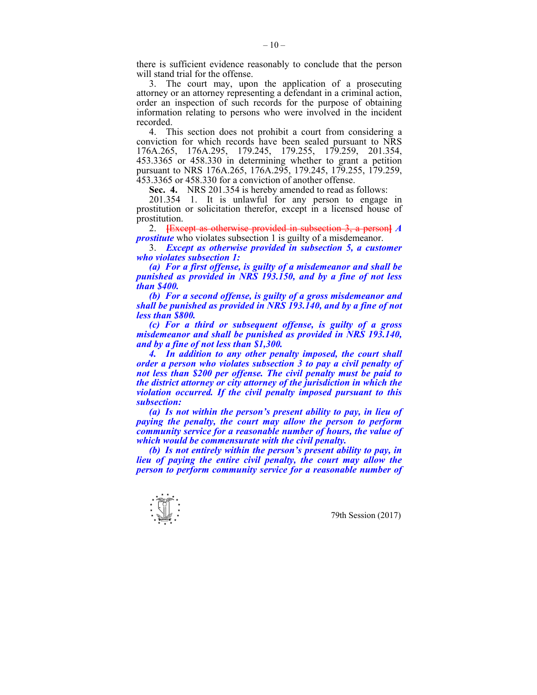there is sufficient evidence reasonably to conclude that the person will stand trial for the offense.

 3. The court may, upon the application of a prosecuting attorney or an attorney representing a defendant in a criminal action, order an inspection of such records for the purpose of obtaining information relating to persons who were involved in the incident recorded.

 4. This section does not prohibit a court from considering a conviction for which records have been sealed pursuant to NRS 176A.265, 176A.295, 179.245, 179.255, 179.259, 201.354, 453.3365 or 458.330 in determining whether to grant a petition pursuant to NRS 176A.265, 176A.295, 179.245, 179.255, 179.259, 453.3365 or 458.330 for a conviction of another offense.

 **Sec. 4.** NRS 201.354 is hereby amended to read as follows:

 201.354 1. It is unlawful for any person to engage in prostitution or solicitation therefor, except in a licensed house of prostitution.

 2. **[**Except as otherwise provided in subsection 3, a person**]** *A prostitute* who violates subsection 1 is guilty of a misdemeanor.

 3. *Except as otherwise provided in subsection 5, a customer who violates subsection 1:* 

 *(a) For a first offense, is guilty of a misdemeanor and shall be punished as provided in NRS 193.150, and by a fine of not less than \$400.* 

 *(b) For a second offense, is guilty of a gross misdemeanor and shall be punished as provided in NRS 193.140, and by a fine of not less than \$800.* 

 *(c) For a third or subsequent offense, is guilty of a gross misdemeanor and shall be punished as provided in NRS 193.140, and by a fine of not less than \$1,300.* 

 *4. In addition to any other penalty imposed, the court shall order a person who violates subsection 3 to pay a civil penalty of not less than \$200 per offense. The civil penalty must be paid to the district attorney or city attorney of the jurisdiction in which the violation occurred. If the civil penalty imposed pursuant to this subsection:* 

 *(a) Is not within the person's present ability to pay, in lieu of paying the penalty, the court may allow the person to perform community service for a reasonable number of hours, the value of which would be commensurate with the civil penalty.* 

 *(b) Is not entirely within the person's present ability to pay, in lieu of paying the entire civil penalty, the court may allow the person to perform community service for a reasonable number of* 

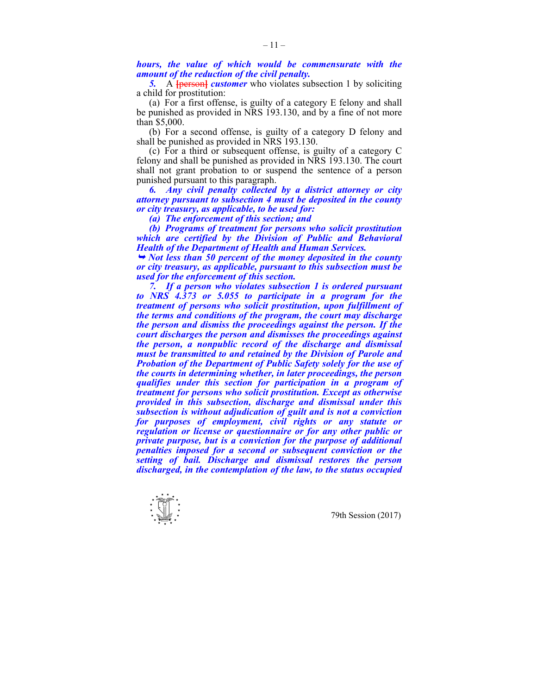*hours, the value of which would be commensurate with the amount of the reduction of the civil penalty.* 

**5.** A **{person}** *customer* who violates subsection 1 by soliciting a child for prostitution:

 (a) For a first offense, is guilty of a category E felony and shall be punished as provided in NRS 193.130, and by a fine of not more than \$5,000.

 (b) For a second offense, is guilty of a category D felony and shall be punished as provided in NRS 193.130.

 (c) For a third or subsequent offense, is guilty of a category C felony and shall be punished as provided in NRS 193.130. The court shall not grant probation to or suspend the sentence of a person punished pursuant to this paragraph.

 *6. Any civil penalty collected by a district attorney or city attorney pursuant to subsection 4 must be deposited in the county or city treasury, as applicable, to be used for:* 

 *(a) The enforcement of this section; and* 

 *(b) Programs of treatment for persons who solicit prostitution which are certified by the Division of Public and Behavioral Health of the Department of Health and Human Services.* 

<sup>¬</sup> *Not less than 50 percent of the money deposited in the county or city treasury, as applicable, pursuant to this subsection must be used for the enforcement of this section.* 

 *7. If a person who violates subsection 1 is ordered pursuant to NRS 4.373 or 5.055 to participate in a program for the treatment of persons who solicit prostitution, upon fulfillment of the terms and conditions of the program, the court may discharge the person and dismiss the proceedings against the person. If the court discharges the person and dismisses the proceedings against the person, a nonpublic record of the discharge and dismissal must be transmitted to and retained by the Division of Parole and Probation of the Department of Public Safety solely for the use of the courts in determining whether, in later proceedings, the person qualifies under this section for participation in a program of treatment for persons who solicit prostitution. Except as otherwise provided in this subsection, discharge and dismissal under this subsection is without adjudication of guilt and is not a conviction for purposes of employment, civil rights or any statute or regulation or license or questionnaire or for any other public or private purpose, but is a conviction for the purpose of additional penalties imposed for a second or subsequent conviction or the setting of bail. Discharge and dismissal restores the person discharged, in the contemplation of the law, to the status occupied*